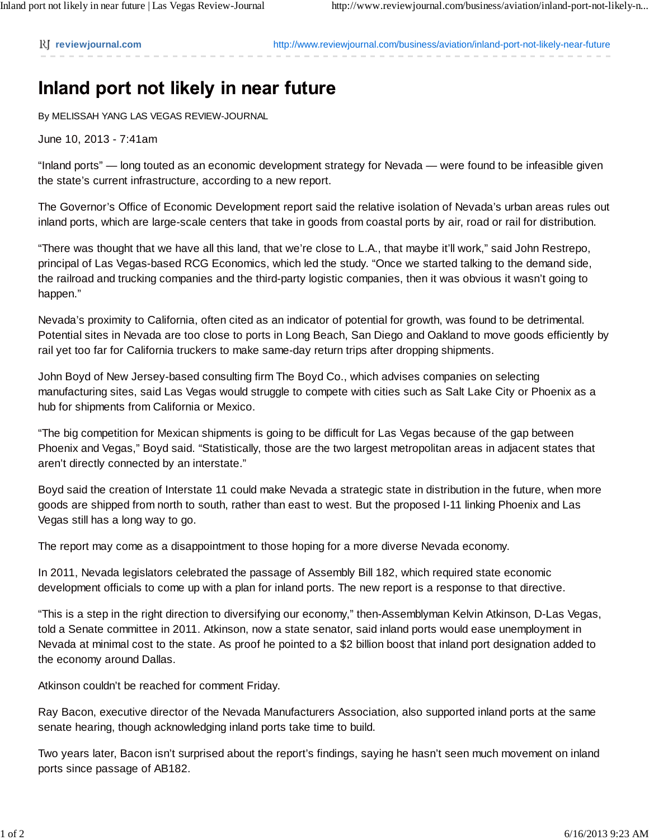**reviewjournal.com** http://www.reviewjournal.com/business/aviation/inland-port-not-likely-near-future

## Inland port not likely in near future

By MELISSAH YANG LAS VEGAS REVIEW-JOURNAL

June 10, 2013 - 7:41am

"Inland ports" — long touted as an economic development strategy for Nevada — were found to be infeasible given the state's current infrastructure, according to a new report.

The Governor's Office of Economic Development report said the relative isolation of Nevada's urban areas rules out inland ports, which are large-scale centers that take in goods from coastal ports by air, road or rail for distribution.

"There was thought that we have all this land, that we're close to L.A., that maybe it'll work," said John Restrepo, principal of Las Vegas-based RCG Economics, which led the study. "Once we started talking to the demand side, the railroad and trucking companies and the third-party logistic companies, then it was obvious it wasn't going to happen."

Nevada's proximity to California, often cited as an indicator of potential for growth, was found to be detrimental. Potential sites in Nevada are too close to ports in Long Beach, San Diego and Oakland to move goods efficiently by rail yet too far for California truckers to make same-day return trips after dropping shipments.

John Boyd of New Jersey-based consulting firm The Boyd Co., which advises companies on selecting manufacturing sites, said Las Vegas would struggle to compete with cities such as Salt Lake City or Phoenix as a hub for shipments from California or Mexico.

"The big competition for Mexican shipments is going to be difficult for Las Vegas because of the gap between Phoenix and Vegas," Boyd said. "Statistically, those are the two largest metropolitan areas in adjacent states that aren't directly connected by an interstate."

Boyd said the creation of Interstate 11 could make Nevada a strategic state in distribution in the future, when more goods are shipped from north to south, rather than east to west. But the proposed I-11 linking Phoenix and Las Vegas still has a long way to go.

The report may come as a disappointment to those hoping for a more diverse Nevada economy.

In 2011, Nevada legislators celebrated the passage of Assembly Bill 182, which required state economic development officials to come up with a plan for inland ports. The new report is a response to that directive.

"This is a step in the right direction to diversifying our economy," then-Assemblyman Kelvin Atkinson, D-Las Vegas, told a Senate committee in 2011. Atkinson, now a state senator, said inland ports would ease unemployment in Nevada at minimal cost to the state. As proof he pointed to a \$2 billion boost that inland port designation added to the economy around Dallas.

Atkinson couldn't be reached for comment Friday.

Ray Bacon, executive director of the Nevada Manufacturers Association, also supported inland ports at the same senate hearing, though acknowledging inland ports take time to build.

Two years later, Bacon isn't surprised about the report's findings, saying he hasn't seen much movement on inland ports since passage of AB182.